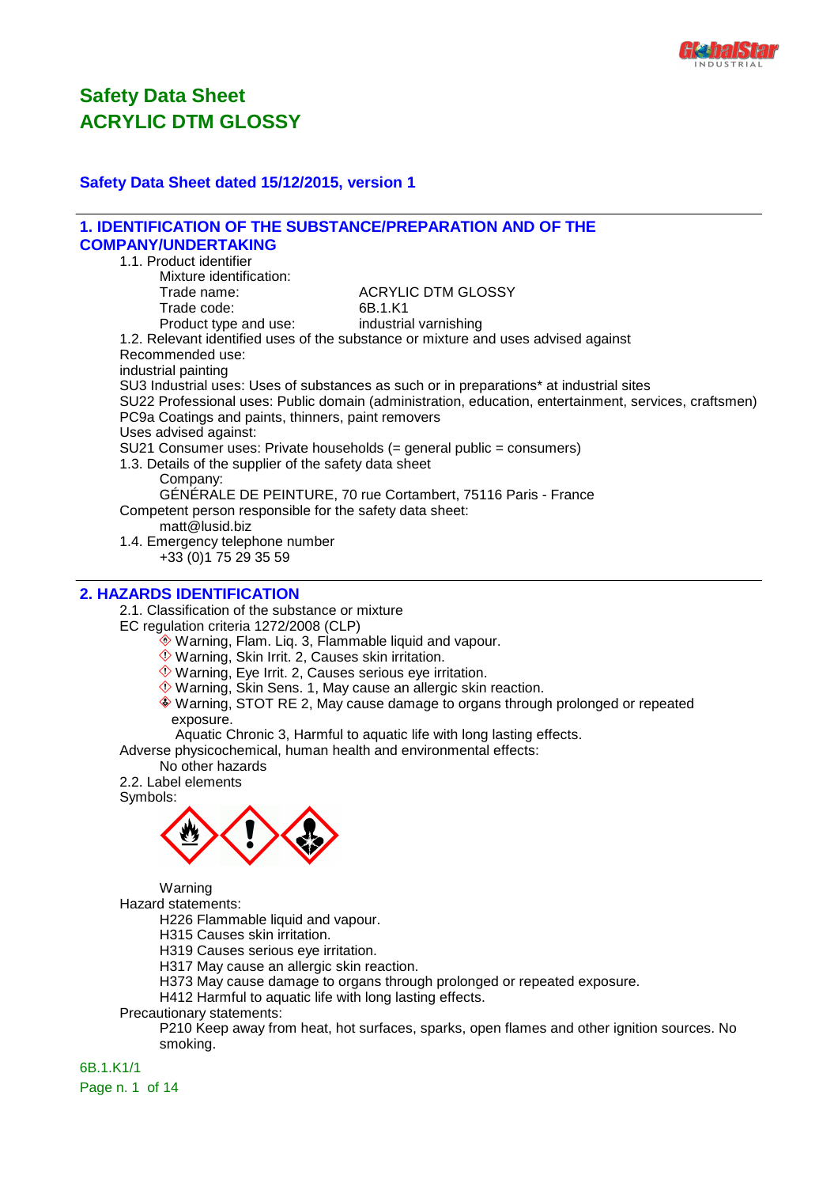

#### **Safety Data Sheet dated 15/12/2015, version 1**

#### **1. IDENTIFICATION OF THE SUBSTANCE/PREPARATION AND OF THE COMPANY/UNDERTAKING** 1.1. Product identifier Mixture identification: Trade name: Trade name: ACRYLIC DTM GLOSSY Trade code: 6B.1.K1 Product type and use: industrial varnishing 1.2. Relevant identified uses of the substance or mixture and uses advised against Recommended use: industrial painting SU3 Industrial uses: Uses of substances as such or in preparations\* at industrial sites SU22 Professional uses: Public domain (administration, education, entertainment, services, craftsmen) PC9a Coatings and paints, thinners, paint removers Uses advised against: SU21 Consumer uses: Private households (= general public = consumers) 1.3. Details of the supplier of the safety data sheet Company: GÉNÉRALE DE PEINTURE, 70 rue Cortambert, 75116 Paris - France Competent person responsible for the safety data sheet: matt@lusid.biz 1.4. Emergency telephone number +33 (0)1 75 29 35 59

#### **2. HAZARDS IDENTIFICATION**

2.1. Classification of the substance or mixture

EC regulation criteria 1272/2008 (CLP)

- Warning, Flam. Liq. 3, Flammable liquid and vapour.
- Warning, Skin Irrit. 2, Causes skin irritation.
- Warning, Eye Irrit. 2, Causes serious eye irritation.
- $\Diamond$  Warning, Skin Sens. 1, May cause an allergic skin reaction.
- Warning, STOT RE 2, May cause damage to organs through prolonged or repeated exposure.

Aquatic Chronic 3, Harmful to aquatic life with long lasting effects.

Adverse physicochemical, human health and environmental effects:

No other hazards

2.2. Label elements

Symbols:



Warning

Hazard statements:

H226 Flammable liquid and vapour.

H315 Causes skin irritation.

H319 Causes serious eye irritation.

H317 May cause an allergic skin reaction.

H373 May cause damage to organs through prolonged or repeated exposure.

H412 Harmful to aquatic life with long lasting effects.

Precautionary statements:

P210 Keep away from heat, hot surfaces, sparks, open flames and other ignition sources. No smoking.

6B.1.K1/1 Page n. 1 of 14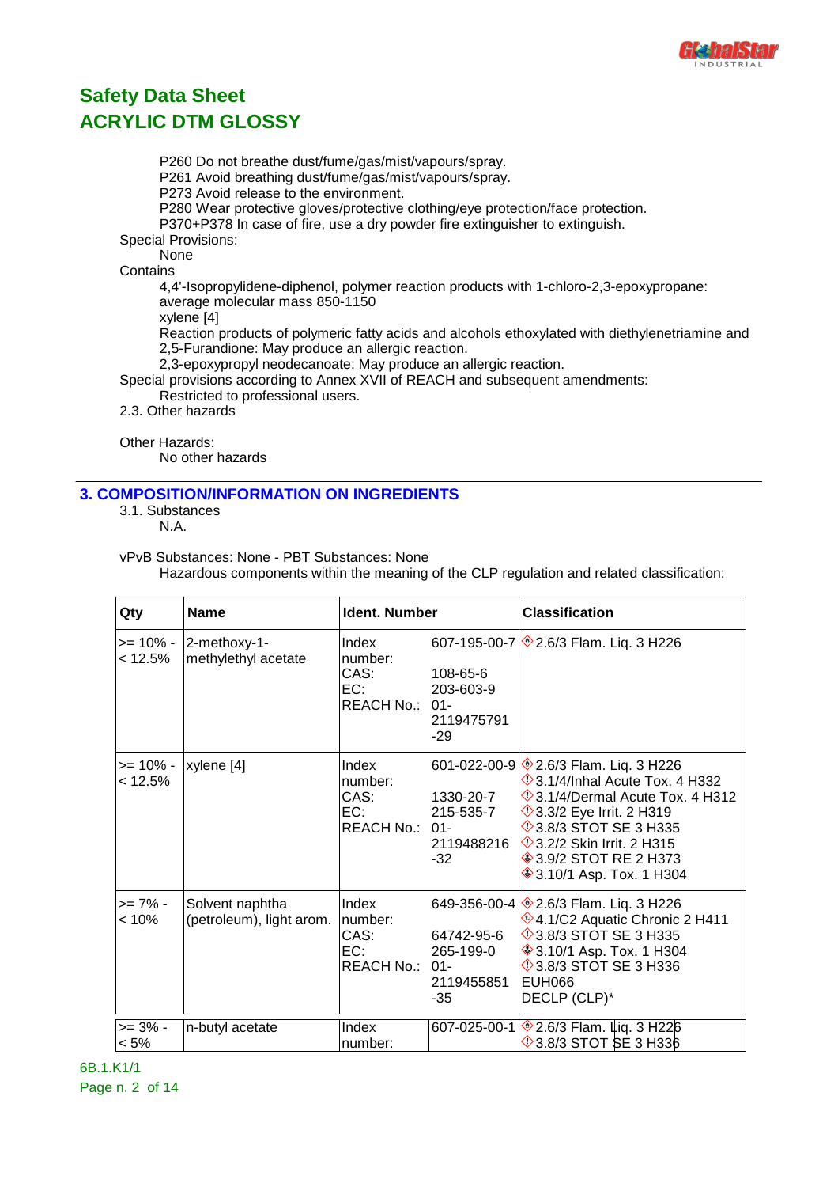

P260 Do not breathe dust/fume/gas/mist/vapours/spray. P261 Avoid breathing dust/fume/gas/mist/vapours/spray. P273 Avoid release to the environment. P280 Wear protective gloves/protective clothing/eye protection/face protection. P370+P378 In case of fire, use a dry powder fire extinguisher to extinguish. Special Provisions: None **Contains** 4,4'-Isopropylidene-diphenol, polymer reaction products with 1-chloro-2,3-epoxypropane: average molecular mass 850-1150 xylene [4] Reaction products of polymeric fatty acids and alcohols ethoxylated with diethylenetriamine and 2,5-Furandione: May produce an allergic reaction. 2,3-epoxypropyl neodecanoate: May produce an allergic reaction. Special provisions according to Annex XVII of REACH and subsequent amendments: Restricted to professional users.

2.3. Other hazards

Other Hazards:

No other hazards

#### **3. COMPOSITION/INFORMATION ON INGREDIENTS**

3.1. Substances

N.A.

vPvB Substances: None - PBT Substances: None

Hazardous components within the meaning of the CLP regulation and related classification:

| Qty                    | <b>Name</b>                                 | Ident. Number                                     |                                               | <b>Classification</b>                                                                                                                                                                                                                                                                                        |
|------------------------|---------------------------------------------|---------------------------------------------------|-----------------------------------------------|--------------------------------------------------------------------------------------------------------------------------------------------------------------------------------------------------------------------------------------------------------------------------------------------------------------|
| >= 10% -<br>< 12.5%    | 2-methoxy-1-<br>methylethyl acetate         | Index<br>number:<br>CAS:<br>EC:<br>REACH No.: 01- | 108-65-6<br>203-603-9<br>2119475791<br>$-29$  | 607-195-00-7 $\otimes$ 2.6/3 Flam. Liq. 3 H226                                                                                                                                                                                                                                                               |
| >= 10% -<br>< 12.5%    | xylene [4]                                  | Index<br>number:<br>CAS:<br>EC:<br>REACH No.: 01- | 1330-20-7<br>215-535-7<br>2119488216<br>$-32$ | 601-022-00-9 \$2.6/3 Flam. Liq. 3 H226<br>$\Diamond$ 3.1/4/Inhal Acute Tox. 4 H332<br>$\Diamond$ 3.1/4/Dermal Acute Tox. 4 H312<br><b>13.3/2 Eye Irrit. 2 H319</b><br><b>13.8/3 STOT SE 3 H335</b><br><b>1</b> 3.2/2 Skin Irrit. 2 H315<br><b>♦ 3.9/2 STOT RE 2 H373</b><br><b>♦ 3.10/1 Asp. Tox. 1 H304</b> |
| $>= 7\%$ -<br>$< 10\%$ | Solvent naphtha<br>(petroleum), light arom. | Index<br>number:<br>CAS:<br>EC:<br>REACH No.: 01- | 64742-95-6<br>265-199-0<br>2119455851<br>-35  | 649-356-00-4 3.6/3 Flam. Liq. 3 H226<br>♦4.1/C2 Aquatic Chronic 2 H411<br><b>13.8/3 STOT SE 3 H335</b><br><b>♦ 3.10/1 Asp. Tox. 1 H304</b><br><b>13.8/3 STOT SE 3 H336</b><br>EUH066<br>DECLP (CLP)*                                                                                                         |
| $>= 3\% -$<br>$< 5\%$  | n-butyl acetate                             | Index<br>number:                                  |                                               | 607-025-00-1 <sup>2</sup> 2.6/3 Flam. Liq. 3 H22 6<br><b>13.8/3 STOT SE 3 H336</b>                                                                                                                                                                                                                           |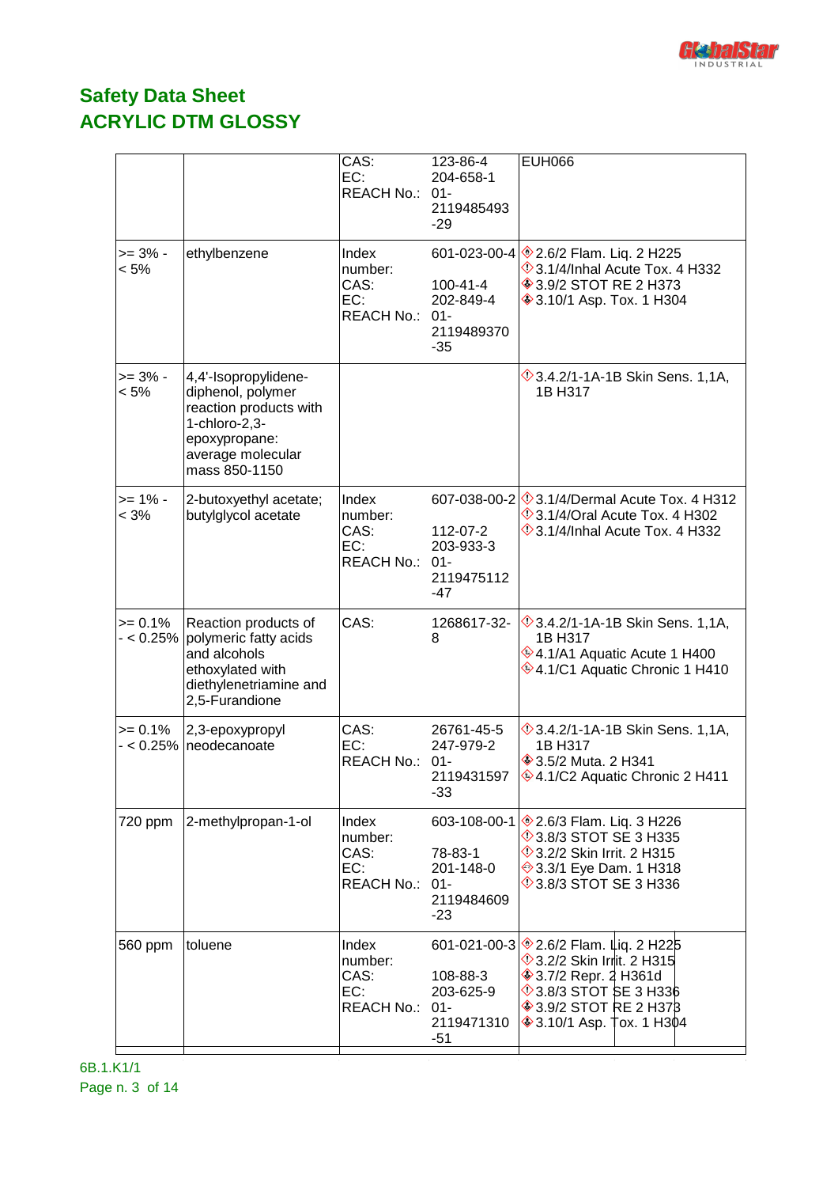

|                           |                                                                                                                                                | CAS:<br>EC:<br>REACH No.: 01-                        | 123-86-4<br>204-658-1<br>2119485493<br>$-29$             | <b>EUH066</b>                                                                                                                                                                                                               |
|---------------------------|------------------------------------------------------------------------------------------------------------------------------------------------|------------------------------------------------------|----------------------------------------------------------|-----------------------------------------------------------------------------------------------------------------------------------------------------------------------------------------------------------------------------|
| $>= 3\% -$<br>$< 5\%$     | ethylbenzene                                                                                                                                   | Index<br>number:<br>CAS:<br>EC:<br>REACH No.:        | 100-41-4<br>202-849-4<br>$01 -$<br>2119489370<br>$-35$   | 601-023-00-4 $\otimes$ 2.6/2 Flam. Liq. 2 H225<br>$\Diamond$ 3.1/4/Inhal Acute Tox. 4 H332<br><b>♦ 3.9/2 STOT RE 2 H373</b><br><b>♦ 3.10/1 Asp. Tox. 1 H304</b>                                                             |
| $>= 3\%$ -<br>$< 5\%$     | 4,4'-Isopropylidene-<br>diphenol, polymer<br>reaction products with<br>$1$ -chloro-2,3-<br>epoxypropane:<br>average molecular<br>mass 850-1150 |                                                      |                                                          | $\Diamond$ 3.4.2/1-1A-1B Skin Sens. 1,1A,<br>1B H317                                                                                                                                                                        |
| $>= 1\% -$<br>< 3%        | 2-butoxyethyl acetate;<br>butylglycol acetate                                                                                                  | Index<br>number:<br>CAS:<br>EC:<br><b>REACH No.:</b> | 112-07-2<br>203-933-3<br>$01 -$<br>2119475112<br>-47     | 607-038-00-2 3.1/4/Dermal Acute Tox. 4 H312<br>$\Diamond$ 3.1/4/Oral Acute Tox. 4 H302<br>$\Diamond$ 3.1/4/Inhal Acute Tox, 4 H332                                                                                          |
| $>= 0.1%$<br>$- < 0.25\%$ | Reaction products of<br>polymeric fatty acids<br>and alcohols<br>ethoxylated with<br>diethylenetriamine and<br>2,5-Furandione                  | CAS:                                                 | 1268617-32-<br>8                                         | $\sqrt{3}$ .4.2/1-1A-1B Skin Sens. 1,1A,<br>1B H317<br>♦4.1/A1 Aquatic Acute 1 H400<br><b>♦ 4.1/C1 Aquatic Chronic 1 H410</b>                                                                                               |
| $>= 0.1%$                 | 2,3-epoxypropyl<br>- < 0.25%   neodecanoate                                                                                                    | CAS:<br>EC:<br>REACH No.:                            | 26761-45-5<br>247-979-2<br>$01 -$<br>2119431597<br>$-33$ | <b>1,14, 3.4.2/1-1A-1B Skin Sens. 1,14</b> ,<br>1B H317<br><b>♦ 3.5/2 Muta. 2 H341</b><br>♦4.1/C2 Aquatic Chronic 2 H411                                                                                                    |
| 720 ppm                   | 2-methylpropan-1-ol                                                                                                                            | Index<br>number:<br>CAS:<br>EC:<br><b>REACH No.:</b> | 78-83-1<br>201-148-0<br>$01 -$<br>2119484609<br>$-23$    | 603-108-00-1 \$2.6/3 Flam. Liq. 3 H226<br>$\Diamond$ 3.8/3 STOT SE 3 H335<br><b>1</b> 3.2/2 Skin Irrit. 2 H315<br>→ 3.3/1 Eye Dam. 1 H318<br>$\Diamond$ 3.8/3 STOT SE 3 H336                                                |
| 560 ppm                   | toluene                                                                                                                                        | Index<br>number:<br>CAS:<br>EC:<br>REACH No.:        | 108-88-3<br>203-625-9<br>$01 -$<br>2119471310<br>$-51$   | 601-021-00-3 <u>♦ 2.6</u> /2 Flam. Lig. 2 H225<br><b>1</b> 3.2/2 Skin Irrit. 2 H315<br><b>♦ 3.7/2 Repr. 2 H361d</b><br>$\Diamond$ 3.8/3 STOT SE 3 H336<br><b>♦ 3.9/2 STOT RE 2 H378</b><br><b>♦ 3.10/1 Asp. Tox. 1 H304</b> |

6B.1.K1/1 Page n. 3 of 14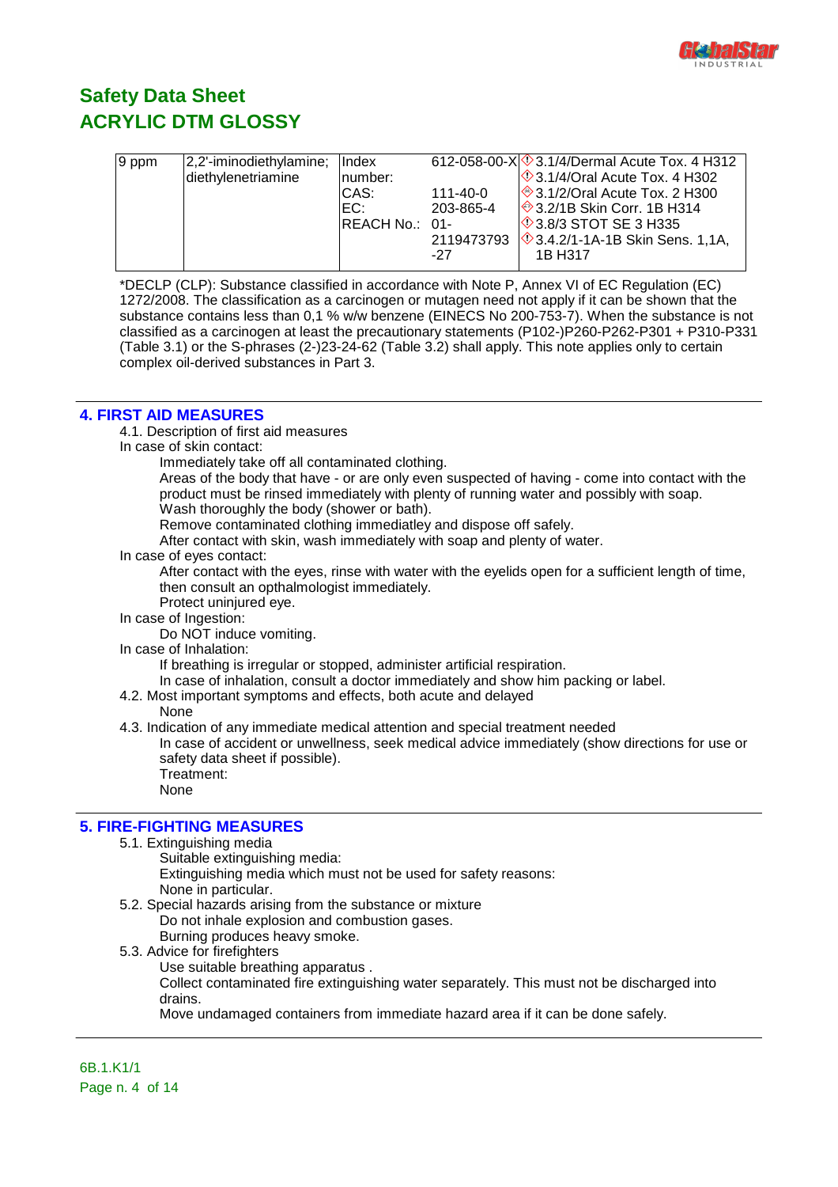

| $ 9$ ppm | 2,2'-iminodiethylamine; | <b>Index</b>   |            | 612-058-00-X $\Diamond$ 3.1/4/Dermal Acute Tox. 4 H312 |
|----------|-------------------------|----------------|------------|--------------------------------------------------------|
|          | diethylenetriamine      | number:        |            | $\otimes$ 3.1/4/Oral Acute Tox. 4 H302                 |
|          |                         | CAS:           | 111-40-0   | $\sqrt{\ }$ 3.1/2/Oral Acute Tox. 2 H300               |
|          |                         | EC:            | 203-865-4  | ◈3.2/1B Skin Corr. 1B H314                             |
|          |                         | REACH No.: 01- |            | <b>1</b> 3.8/3 STOT SE 3 H335                          |
|          |                         |                | 2119473793 | ◇3.4.2/1-1A-1B Skin Sens. 1,1A,                        |
|          |                         |                | -27        | 1B H317                                                |
|          |                         |                |            |                                                        |

\*DECLP (CLP): Substance classified in accordance with Note P, Annex VI of EC Regulation (EC) 1272/2008. The classification as a carcinogen or mutagen need not apply if it can be shown that the substance contains less than 0,1 % w/w benzene (EINECS No 200-753-7). When the substance is not classified as a carcinogen at least the precautionary statements (P102-)P260-P262-P301 + P310-P331 (Table 3.1) or the S-phrases (2-)23-24-62 (Table 3.2) shall apply. This note applies only to certain complex oil-derived substances in Part 3.

#### **4. FIRST AID MEASURES**

4.1. Description of first aid measures

In case of skin contact:

Immediately take off all contaminated clothing.

Areas of the body that have - or are only even suspected of having - come into contact with the product must be rinsed immediately with plenty of running water and possibly with soap. Wash thoroughly the body (shower or bath).

Remove contaminated clothing immediatley and dispose off safely.

After contact with skin, wash immediately with soap and plenty of water.

In case of eyes contact:

After contact with the eyes, rinse with water with the eyelids open for a sufficient length of time, then consult an opthalmologist immediately.

Protect uninjured eye.

In case of Ingestion:

Do NOT induce vomiting.

In case of Inhalation:

If breathing is irregular or stopped, administer artificial respiration.

In case of inhalation, consult a doctor immediately and show him packing or label.

4.2. Most important symptoms and effects, both acute and delayed

None

4.3. Indication of any immediate medical attention and special treatment needed

In case of accident or unwellness, seek medical advice immediately (show directions for use or safety data sheet if possible). Treatment:

None

#### **5. FIRE-FIGHTING MEASURES**

5.1. Extinguishing media

Suitable extinguishing media:

Extinguishing media which must not be used for safety reasons: None in particular.

- 5.2. Special hazards arising from the substance or mixture Do not inhale explosion and combustion gases. Burning produces heavy smoke.
- 5.3. Advice for firefighters
	- Use suitable breathing apparatus .

Collect contaminated fire extinguishing water separately. This must not be discharged into drains.

Move undamaged containers from immediate hazard area if it can be done safely.

6B.1.K1/1 Page n. 4 of 14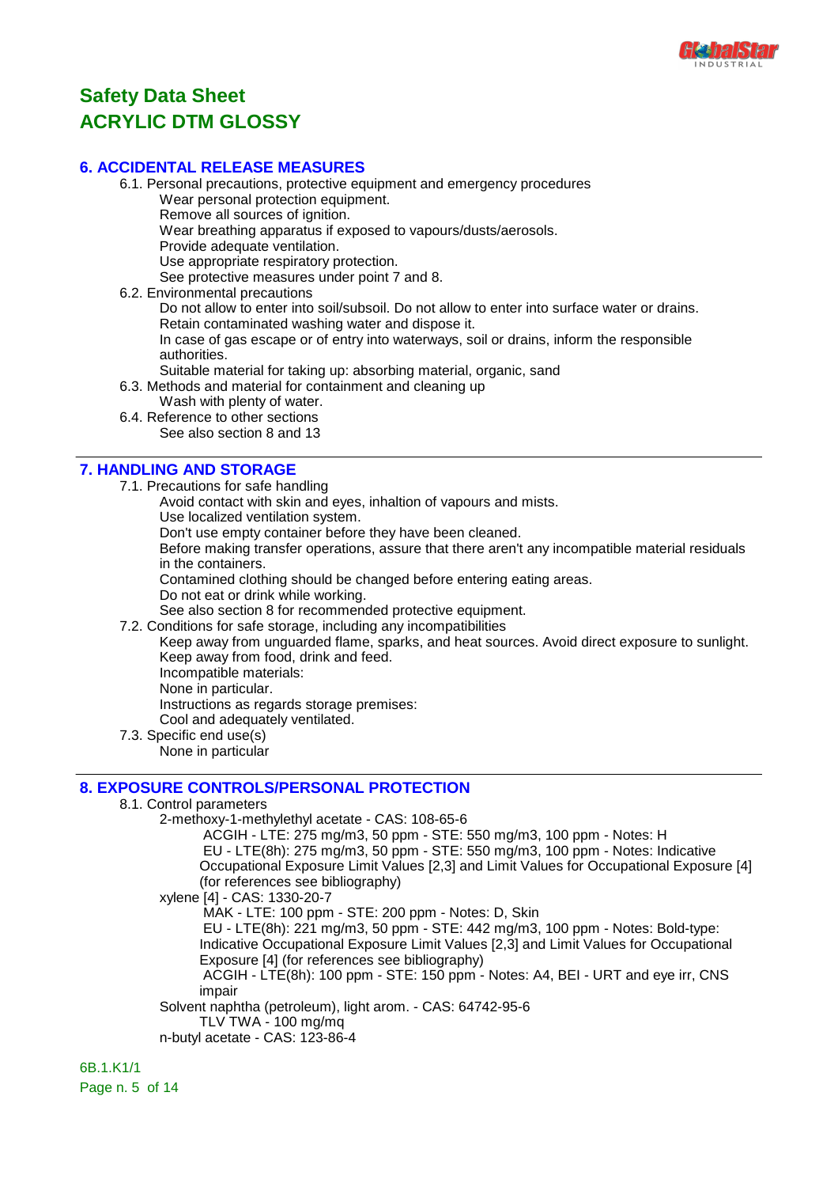

#### **6. ACCIDENTAL RELEASE MEASURES**

6.1. Personal precautions, protective equipment and emergency procedures Wear personal protection equipment. Remove all sources of ignition. Wear breathing apparatus if exposed to vapours/dusts/aerosols. Provide adequate ventilation. Use appropriate respiratory protection. See protective measures under point 7 and 8.

6.2. Environmental precautions

Do not allow to enter into soil/subsoil. Do not allow to enter into surface water or drains. Retain contaminated washing water and dispose it.

In case of gas escape or of entry into waterways, soil or drains, inform the responsible authorities.

- Suitable material for taking up: absorbing material, organic, sand
- 6.3. Methods and material for containment and cleaning up
	- Wash with plenty of water.
- 6.4. Reference to other sections See also section 8 and 13

### **7. HANDLING AND STORAGE**

- 7.1. Precautions for safe handling
	- Avoid contact with skin and eyes, inhaltion of vapours and mists.
	- Use localized ventilation system.
	- Don't use empty container before they have been cleaned.

Before making transfer operations, assure that there aren't any incompatible material residuals in the containers.

Contamined clothing should be changed before entering eating areas.

Do not eat or drink while working.

See also section 8 for recommended protective equipment.

7.2. Conditions for safe storage, including any incompatibilities

Keep away from unguarded flame, sparks, and heat sources. Avoid direct exposure to sunlight. Keep away from food, drink and feed. Incompatible materials:

None in particular.

Instructions as regards storage premises:

Cool and adequately ventilated.

7.3. Specific end use(s)

None in particular

### **8. EXPOSURE CONTROLS/PERSONAL PROTECTION**

#### 8.1. Control parameters

2-methoxy-1-methylethyl acetate - CAS: 108-65-6

 ACGIH - LTE: 275 mg/m3, 50 ppm - STE: 550 mg/m3, 100 ppm - Notes: H EU - LTE(8h): 275 mg/m3, 50 ppm - STE: 550 mg/m3, 100 ppm - Notes: Indicative Occupational Exposure Limit Values [2,3] and Limit Values for Occupational Exposure [4] (for references see bibliography)

xylene [4] - CAS: 1330-20-7

MAK - LTE: 100 ppm - STE: 200 ppm - Notes: D, Skin

 EU - LTE(8h): 221 mg/m3, 50 ppm - STE: 442 mg/m3, 100 ppm - Notes: Bold-type: Indicative Occupational Exposure Limit Values [2,3] and Limit Values for Occupational Exposure [4] (for references see bibliography)

 ACGIH - LTE(8h): 100 ppm - STE: 150 ppm - Notes: A4, BEI - URT and eye irr, CNS impair

Solvent naphtha (petroleum), light arom. - CAS: 64742-95-6

TLV TWA - 100 mg/mq

n-butyl acetate - CAS: 123-86-4

6B.1.K1/1 Page n. 5 of 14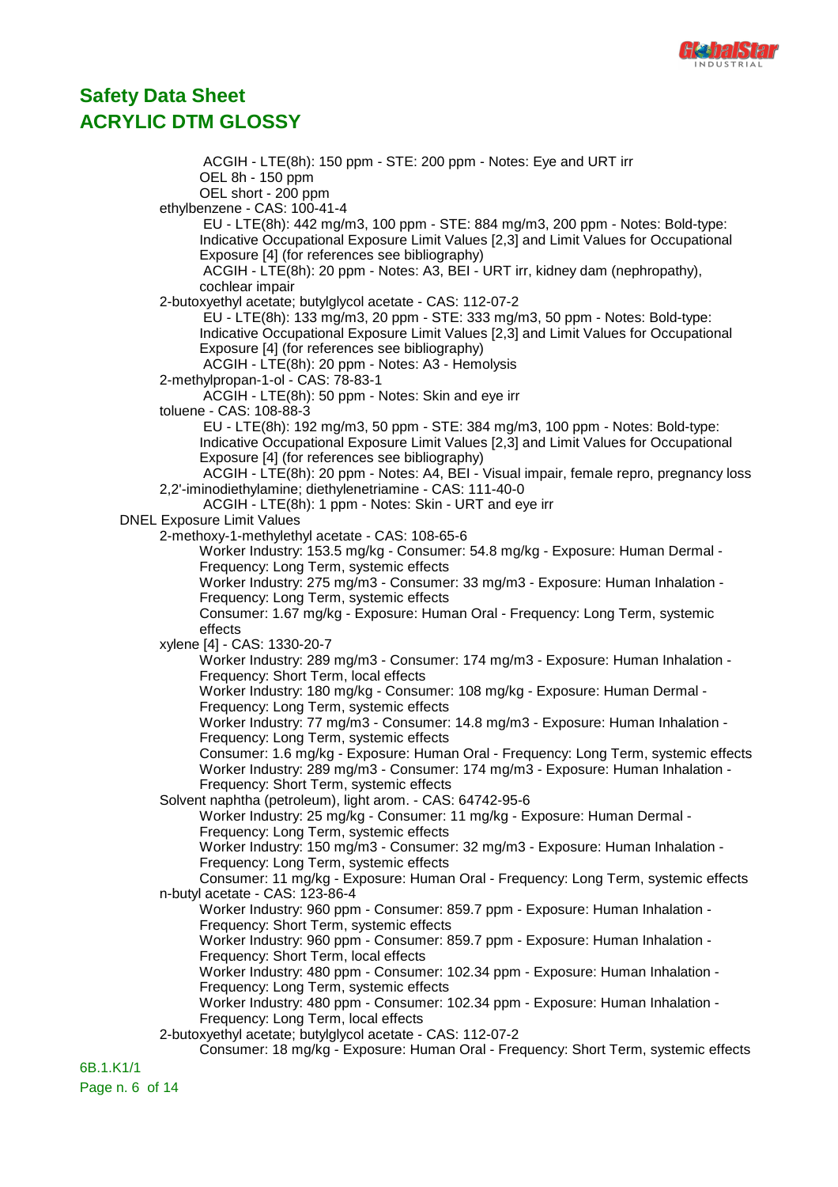

 ACGIH - LTE(8h): 150 ppm - STE: 200 ppm - Notes: Eye and URT irr OEL 8h - 150 ppm OEL short - 200 ppm ethylbenzene - CAS: 100-41-4 EU - LTE(8h): 442 mg/m3, 100 ppm - STE: 884 mg/m3, 200 ppm - Notes: Bold-type: Indicative Occupational Exposure Limit Values [2,3] and Limit Values for Occupational Exposure [4] (for references see bibliography) ACGIH - LTE(8h): 20 ppm - Notes: A3, BEI - URT irr, kidney dam (nephropathy), cochlear impair 2-butoxyethyl acetate; butylglycol acetate - CAS: 112-07-2 EU - LTE(8h): 133 mg/m3, 20 ppm - STE: 333 mg/m3, 50 ppm - Notes: Bold-type: Indicative Occupational Exposure Limit Values [2,3] and Limit Values for Occupational Exposure [4] (for references see bibliography) ACGIH - LTE(8h): 20 ppm - Notes: A3 - Hemolysis 2-methylpropan-1-ol - CAS: 78-83-1 ACGIH - LTE(8h): 50 ppm - Notes: Skin and eye irr toluene - CAS: 108-88-3 EU - LTE(8h): 192 mg/m3, 50 ppm - STE: 384 mg/m3, 100 ppm - Notes: Bold-type: Indicative Occupational Exposure Limit Values [2,3] and Limit Values for Occupational Exposure [4] (for references see bibliography) ACGIH - LTE(8h): 20 ppm - Notes: A4, BEI - Visual impair, female repro, pregnancy loss 2,2'-iminodiethylamine; diethylenetriamine - CAS: 111-40-0 ACGIH - LTE(8h): 1 ppm - Notes: Skin - URT and eye irr DNEL Exposure Limit Values 2-methoxy-1-methylethyl acetate - CAS: 108-65-6 Worker Industry: 153.5 mg/kg - Consumer: 54.8 mg/kg - Exposure: Human Dermal - Frequency: Long Term, systemic effects Worker Industry: 275 mg/m3 - Consumer: 33 mg/m3 - Exposure: Human Inhalation - Frequency: Long Term, systemic effects Consumer: 1.67 mg/kg - Exposure: Human Oral - Frequency: Long Term, systemic effects xylene [4] - CAS: 1330-20-7 Worker Industry: 289 mg/m3 - Consumer: 174 mg/m3 - Exposure: Human Inhalation - Frequency: Short Term, local effects Worker Industry: 180 mg/kg - Consumer: 108 mg/kg - Exposure: Human Dermal - Frequency: Long Term, systemic effects Worker Industry: 77 mg/m3 - Consumer: 14.8 mg/m3 - Exposure: Human Inhalation - Frequency: Long Term, systemic effects Consumer: 1.6 mg/kg - Exposure: Human Oral - Frequency: Long Term, systemic effects Worker Industry: 289 mg/m3 - Consumer: 174 mg/m3 - Exposure: Human Inhalation - Frequency: Short Term, systemic effects Solvent naphtha (petroleum), light arom. - CAS: 64742-95-6 Worker Industry: 25 mg/kg - Consumer: 11 mg/kg - Exposure: Human Dermal - Frequency: Long Term, systemic effects Worker Industry: 150 mg/m3 - Consumer: 32 mg/m3 - Exposure: Human Inhalation - Frequency: Long Term, systemic effects Consumer: 11 mg/kg - Exposure: Human Oral - Frequency: Long Term, systemic effects n-butyl acetate - CAS: 123-86-4 Worker Industry: 960 ppm - Consumer: 859.7 ppm - Exposure: Human Inhalation - Frequency: Short Term, systemic effects Worker Industry: 960 ppm - Consumer: 859.7 ppm - Exposure: Human Inhalation - Frequency: Short Term, local effects Worker Industry: 480 ppm - Consumer: 102.34 ppm - Exposure: Human Inhalation - Frequency: Long Term, systemic effects Worker Industry: 480 ppm - Consumer: 102.34 ppm - Exposure: Human Inhalation - Frequency: Long Term, local effects 2-butoxyethyl acetate; butylglycol acetate - CAS: 112-07-2 Consumer: 18 mg/kg - Exposure: Human Oral - Frequency: Short Term, systemic effects 6B.1.K1/1

Page n. 6 of 14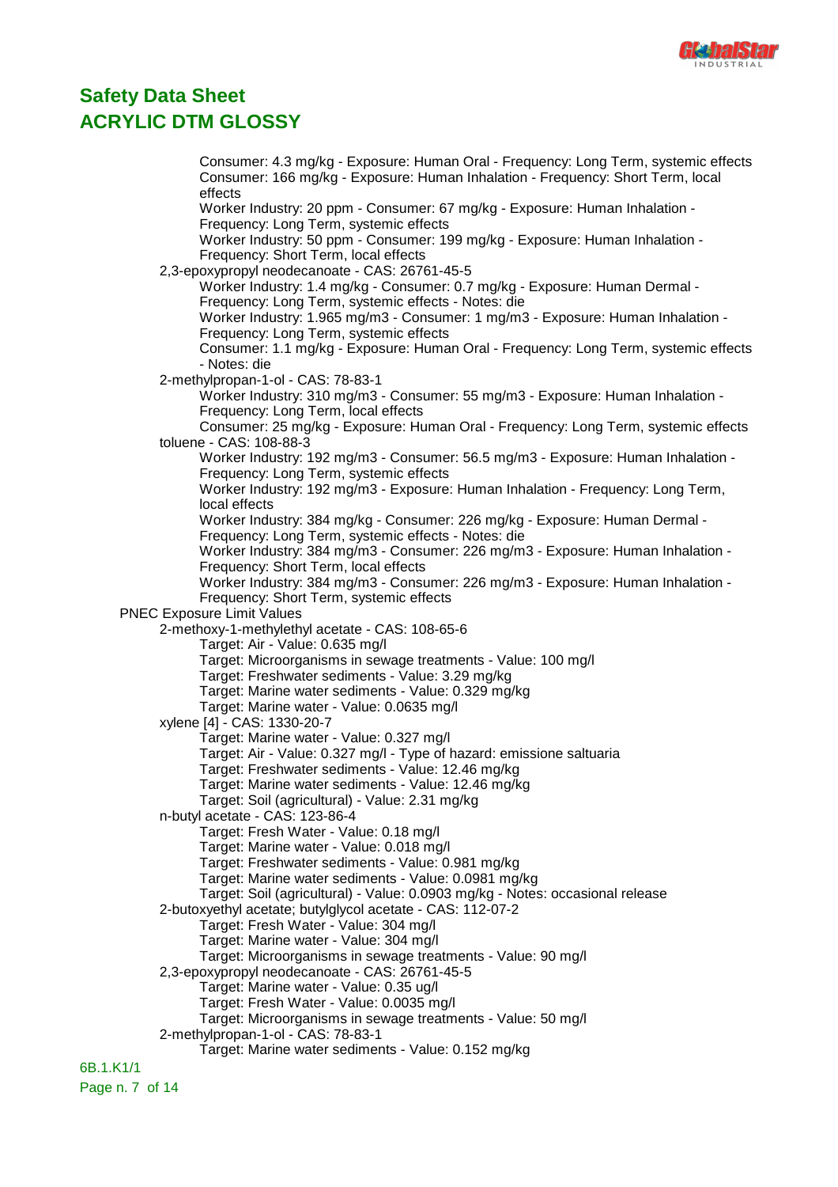

Consumer: 4.3 mg/kg - Exposure: Human Oral - Frequency: Long Term, systemic effects Consumer: 166 mg/kg - Exposure: Human Inhalation - Frequency: Short Term, local effects Worker Industry: 20 ppm - Consumer: 67 mg/kg - Exposure: Human Inhalation - Frequency: Long Term, systemic effects Worker Industry: 50 ppm - Consumer: 199 mg/kg - Exposure: Human Inhalation - Frequency: Short Term, local effects 2,3-epoxypropyl neodecanoate - CAS: 26761-45-5 Worker Industry: 1.4 mg/kg - Consumer: 0.7 mg/kg - Exposure: Human Dermal - Frequency: Long Term, systemic effects - Notes: die Worker Industry: 1.965 mg/m3 - Consumer: 1 mg/m3 - Exposure: Human Inhalation - Frequency: Long Term, systemic effects Consumer: 1.1 mg/kg - Exposure: Human Oral - Frequency: Long Term, systemic effects - Notes: die 2-methylpropan-1-ol - CAS: 78-83-1 Worker Industry: 310 mg/m3 - Consumer: 55 mg/m3 - Exposure: Human Inhalation - Frequency: Long Term, local effects Consumer: 25 mg/kg - Exposure: Human Oral - Frequency: Long Term, systemic effects toluene - CAS: 108-88-3 Worker Industry: 192 mg/m3 - Consumer: 56.5 mg/m3 - Exposure: Human Inhalation - Frequency: Long Term, systemic effects Worker Industry: 192 mg/m3 - Exposure: Human Inhalation - Frequency: Long Term, local effects Worker Industry: 384 mg/kg - Consumer: 226 mg/kg - Exposure: Human Dermal - Frequency: Long Term, systemic effects - Notes: die Worker Industry: 384 mg/m3 - Consumer: 226 mg/m3 - Exposure: Human Inhalation - Frequency: Short Term, local effects Worker Industry: 384 mg/m3 - Consumer: 226 mg/m3 - Exposure: Human Inhalation - Frequency: Short Term, systemic effects PNEC Exposure Limit Values 2-methoxy-1-methylethyl acetate - CAS: 108-65-6 Target: Air - Value: 0.635 mg/l Target: Microorganisms in sewage treatments - Value: 100 mg/l Target: Freshwater sediments - Value: 3.29 mg/kg Target: Marine water sediments - Value: 0.329 mg/kg Target: Marine water - Value: 0.0635 mg/l xylene [4] - CAS: 1330-20-7 Target: Marine water - Value: 0.327 mg/l Target: Air - Value: 0.327 mg/l - Type of hazard: emissione saltuaria Target: Freshwater sediments - Value: 12.46 mg/kg Target: Marine water sediments - Value: 12.46 mg/kg Target: Soil (agricultural) - Value: 2.31 mg/kg n-butyl acetate - CAS: 123-86-4 Target: Fresh Water - Value: 0.18 mg/l Target: Marine water - Value: 0.018 mg/l Target: Freshwater sediments - Value: 0.981 mg/kg Target: Marine water sediments - Value: 0.0981 mg/kg Target: Soil (agricultural) - Value: 0.0903 mg/kg - Notes: occasional release 2-butoxyethyl acetate; butylglycol acetate - CAS: 112-07-2 Target: Fresh Water - Value: 304 mg/l Target: Marine water - Value: 304 mg/l Target: Microorganisms in sewage treatments - Value: 90 mg/l 2,3-epoxypropyl neodecanoate - CAS: 26761-45-5 Target: Marine water - Value: 0.35 ug/l Target: Fresh Water - Value: 0.0035 mg/l Target: Microorganisms in sewage treatments - Value: 50 mg/l 2-methylpropan-1-ol - CAS: 78-83-1 Target: Marine water sediments - Value: 0.152 mg/kg 6B.1.K1/1

Page n. 7 of 14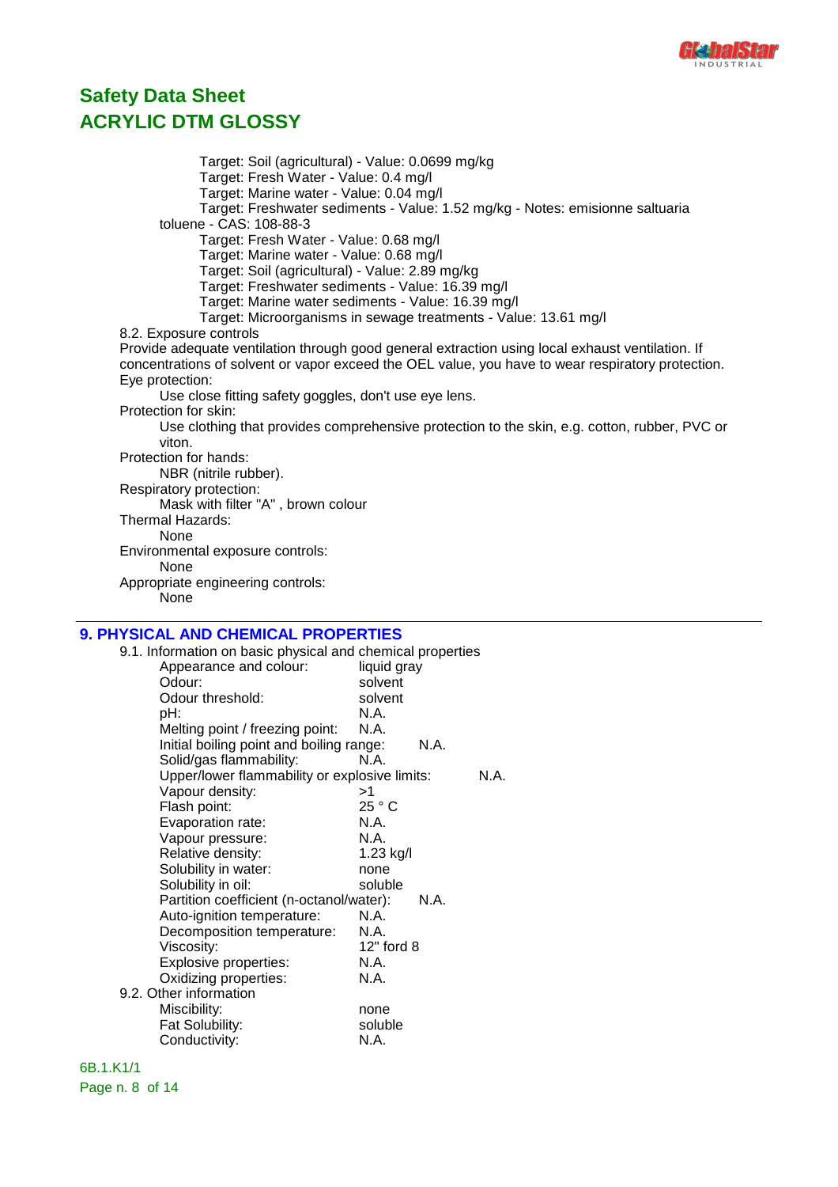

Target: Soil (agricultural) - Value: 0.0699 mg/kg Target: Fresh Water - Value: 0.4 mg/l Target: Marine water - Value: 0.04 mg/l Target: Freshwater sediments - Value: 1.52 mg/kg - Notes: emisionne saltuaria toluene - CAS: 108-88-3 Target: Fresh Water - Value: 0.68 mg/l Target: Marine water - Value: 0.68 mg/l Target: Soil (agricultural) - Value: 2.89 mg/kg Target: Freshwater sediments - Value: 16.39 mg/l Target: Marine water sediments - Value: 16.39 mg/l Target: Microorganisms in sewage treatments - Value: 13.61 mg/l 8.2. Exposure controls Provide adequate ventilation through good general extraction using local exhaust ventilation. If concentrations of solvent or vapor exceed the OEL value, you have to wear respiratory protection. Eye protection: Use close fitting safety goggles, don't use eye lens. Protection for skin: Use clothing that provides comprehensive protection to the skin, e.g. cotton, rubber, PVC or viton. Protection for hands: NBR (nitrile rubber). Respiratory protection: Mask with filter "A" , brown colour Thermal Hazards: None Environmental exposure controls: None Appropriate engineering controls: None

#### **9. PHYSICAL AND CHEMICAL PROPERTIES**

|     | 9.1. Information on basic physical and chemical properties |             |      |      |
|-----|------------------------------------------------------------|-------------|------|------|
|     | Appearance and colour:                                     | liquid gray |      |      |
|     | Odour:                                                     | solvent     |      |      |
|     | Odour threshold:                                           | solvent     |      |      |
| pH: |                                                            | N.A.        |      |      |
|     | Melting point / freezing point:                            | N.A.        |      |      |
|     | Initial boiling point and boiling range:                   |             | N.A. |      |
|     | Solid/gas flammability:                                    | N.A.        |      |      |
|     | Upper/lower flammability or explosive limits:              |             |      | N.A. |
|     | Vapour density:                                            | >1          |      |      |
|     | Flash point:                                               | 25 ° C      |      |      |
|     | Evaporation rate:                                          | N.A.        |      |      |
|     | Vapour pressure:                                           | N.A.        |      |      |
|     | Relative density:                                          | 1.23 kg/l   |      |      |
|     | Solubility in water:                                       | none        |      |      |
|     | Solubility in oil:                                         | soluble     |      |      |
|     | Partition coefficient (n-octanol/water):                   |             | N.A. |      |
|     | Auto-ignition temperature:                                 | N.A.        |      |      |
|     | Decomposition temperature:                                 | N.A.        |      |      |
|     | Viscosity:                                                 | 12" ford 8  |      |      |
|     | Explosive properties:                                      | N.A.        |      |      |
|     | Oxidizing properties:                                      | N.A.        |      |      |
|     | 9.2. Other information                                     |             |      |      |
|     | Miscibility:                                               | none        |      |      |
|     | Fat Solubility:                                            | soluble     |      |      |
|     | Conductivity:                                              | N.A.        |      |      |
|     |                                                            |             |      |      |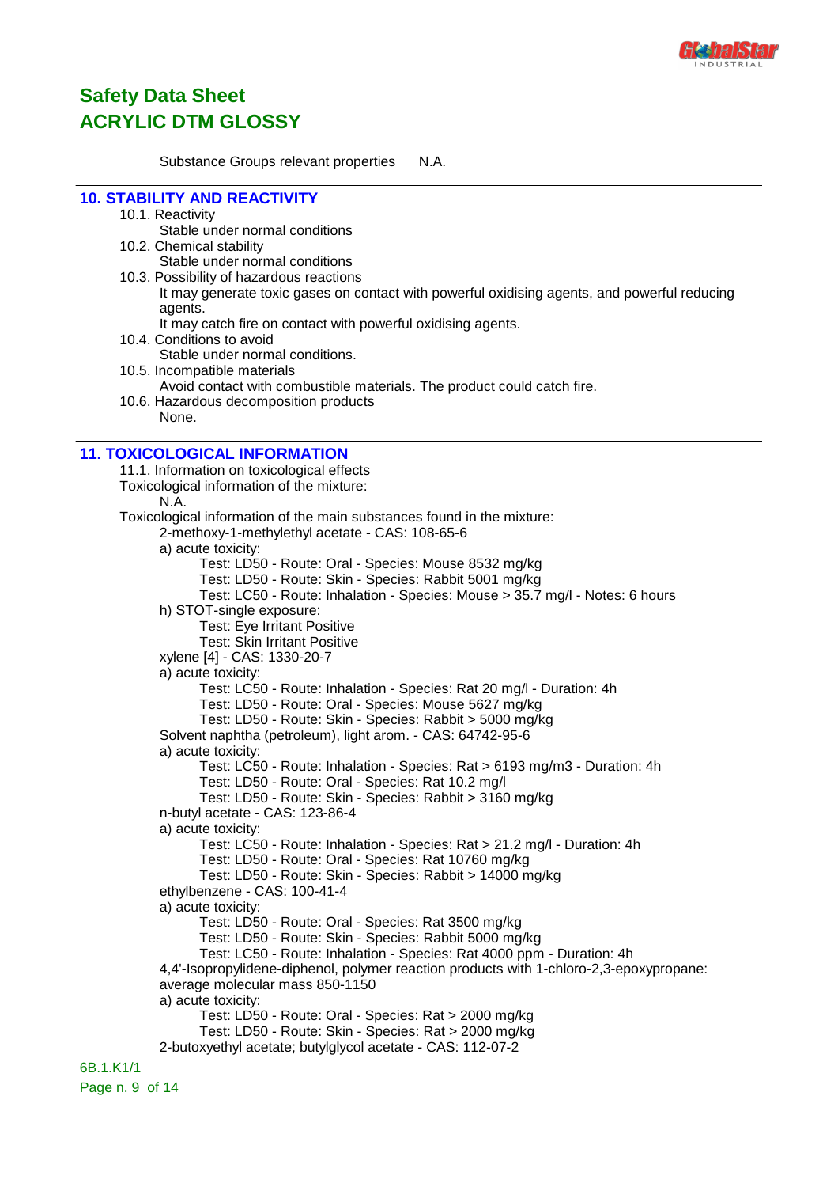

Substance Groups relevant properties N.A.

### **10. STABILITY AND REACTIVITY**

#### 10.1. Reactivity

Stable under normal conditions

10.2. Chemical stability

Stable under normal conditions

- 10.3. Possibility of hazardous reactions
	- It may generate toxic gases on contact with powerful oxidising agents, and powerful reducing agents.
	- It may catch fire on contact with powerful oxidising agents.
- 10.4. Conditions to avoid
	- Stable under normal conditions.
- 10.5. Incompatible materials Avoid contact with combustible materials. The product could catch fire.
- 10.6. Hazardous decomposition products None.

### **11. TOXICOLOGICAL INFORMATION**

11.1. Information on toxicological effects Toxicological information of the mixture: N.A. Toxicological information of the main substances found in the mixture: 2-methoxy-1-methylethyl acetate - CAS: 108-65-6 a) acute toxicity: Test: LD50 - Route: Oral - Species: Mouse 8532 mg/kg Test: LD50 - Route: Skin - Species: Rabbit 5001 mg/kg Test: LC50 - Route: Inhalation - Species: Mouse > 35.7 mg/l - Notes: 6 hours h) STOT-single exposure: Test: Eye Irritant Positive Test: Skin Irritant Positive xylene [4] - CAS: 1330-20-7 a) acute toxicity: Test: LC50 - Route: Inhalation - Species: Rat 20 mg/l - Duration: 4h Test: LD50 - Route: Oral - Species: Mouse 5627 mg/kg Test: LD50 - Route: Skin - Species: Rabbit > 5000 mg/kg Solvent naphtha (petroleum), light arom. - CAS: 64742-95-6 a) acute toxicity: Test: LC50 - Route: Inhalation - Species: Rat > 6193 mg/m3 - Duration: 4h Test: LD50 - Route: Oral - Species: Rat 10.2 mg/l Test: LD50 - Route: Skin - Species: Rabbit > 3160 mg/kg n-butyl acetate - CAS: 123-86-4 a) acute toxicity: Test: LC50 - Route: Inhalation - Species: Rat > 21.2 mg/l - Duration: 4h Test: LD50 - Route: Oral - Species: Rat 10760 mg/kg Test: LD50 - Route: Skin - Species: Rabbit > 14000 mg/kg ethylbenzene - CAS: 100-41-4 a) acute toxicity: Test: LD50 - Route: Oral - Species: Rat 3500 mg/kg Test: LD50 - Route: Skin - Species: Rabbit 5000 mg/kg Test: LC50 - Route: Inhalation - Species: Rat 4000 ppm - Duration: 4h 4,4'-Isopropylidene-diphenol, polymer reaction products with 1-chloro-2,3-epoxypropane: average molecular mass 850-1150 a) acute toxicity: Test: LD50 - Route: Oral - Species: Rat > 2000 mg/kg Test: LD50 - Route: Skin - Species: Rat > 2000 mg/kg 2-butoxyethyl acetate; butylglycol acetate - CAS: 112-07-2 6B.1.K1/1 Page n. 9 of 14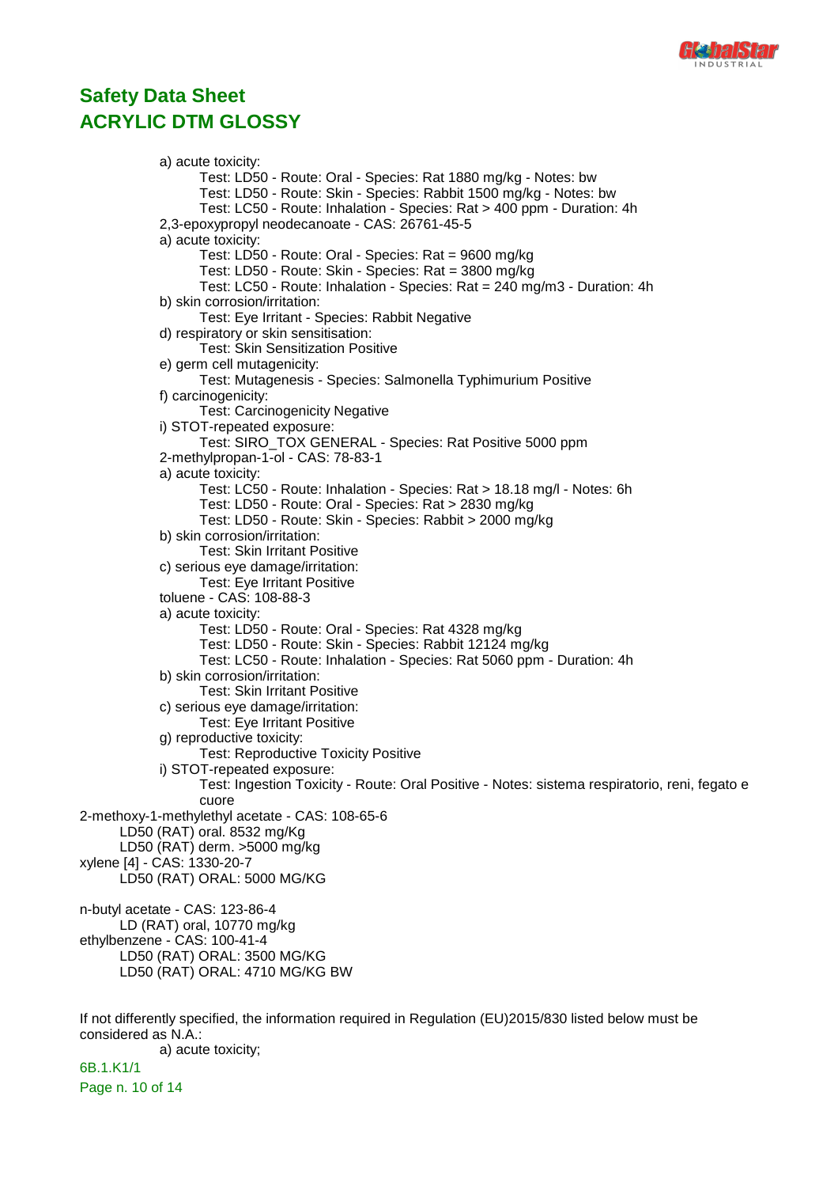

a) acute toxicity: Test: LD50 - Route: Oral - Species: Rat 1880 mg/kg - Notes: bw Test: LD50 - Route: Skin - Species: Rabbit 1500 mg/kg - Notes: bw Test: LC50 - Route: Inhalation - Species: Rat > 400 ppm - Duration: 4h 2,3-epoxypropyl neodecanoate - CAS: 26761-45-5 a) acute toxicity: Test: LD50 - Route: Oral - Species: Rat = 9600 mg/kg Test: LD50 - Route: Skin - Species: Rat = 3800 mg/kg Test: LC50 - Route: Inhalation - Species: Rat = 240 mg/m3 - Duration: 4h b) skin corrosion/irritation: Test: Eye Irritant - Species: Rabbit Negative d) respiratory or skin sensitisation: Test: Skin Sensitization Positive e) germ cell mutagenicity: Test: Mutagenesis - Species: Salmonella Typhimurium Positive f) carcinogenicity: Test: Carcinogenicity Negative i) STOT-repeated exposure: Test: SIRO\_TOX GENERAL - Species: Rat Positive 5000 ppm 2-methylpropan-1-ol - CAS: 78-83-1 a) acute toxicity: Test: LC50 - Route: Inhalation - Species: Rat > 18.18 mg/l - Notes: 6h Test: LD50 - Route: Oral - Species: Rat > 2830 mg/kg Test: LD50 - Route: Skin - Species: Rabbit > 2000 mg/kg b) skin corrosion/irritation: Test: Skin Irritant Positive c) serious eye damage/irritation: Test: Eye Irritant Positive toluene - CAS: 108-88-3 a) acute toxicity: Test: LD50 - Route: Oral - Species: Rat 4328 mg/kg Test: LD50 - Route: Skin - Species: Rabbit 12124 mg/kg Test: LC50 - Route: Inhalation - Species: Rat 5060 ppm - Duration: 4h b) skin corrosion/irritation: Test: Skin Irritant Positive c) serious eye damage/irritation: Test: Eye Irritant Positive g) reproductive toxicity: Test: Reproductive Toxicity Positive i) STOT-repeated exposure: Test: Ingestion Toxicity - Route: Oral Positive - Notes: sistema respiratorio, reni, fegato e cuore 2-methoxy-1-methylethyl acetate - CAS: 108-65-6 LD50 (RAT) oral. 8532 mg/Kg LD50 (RAT) derm. >5000 mg/kg xylene [4] - CAS: 1330-20-7 LD50 (RAT) ORAL: 5000 MG/KG n-butyl acetate - CAS: 123-86-4 LD (RAT) oral, 10770 mg/kg ethylbenzene - CAS: 100-41-4 LD50 (RAT) ORAL: 3500 MG/KG LD50 (RAT) ORAL: 4710 MG/KG BW If not differently specified, the information required in Regulation (EU)2015/830 listed below must be considered as N.A.: a) acute toxicity; 6B.1.K1/1

Page n. 10 of 14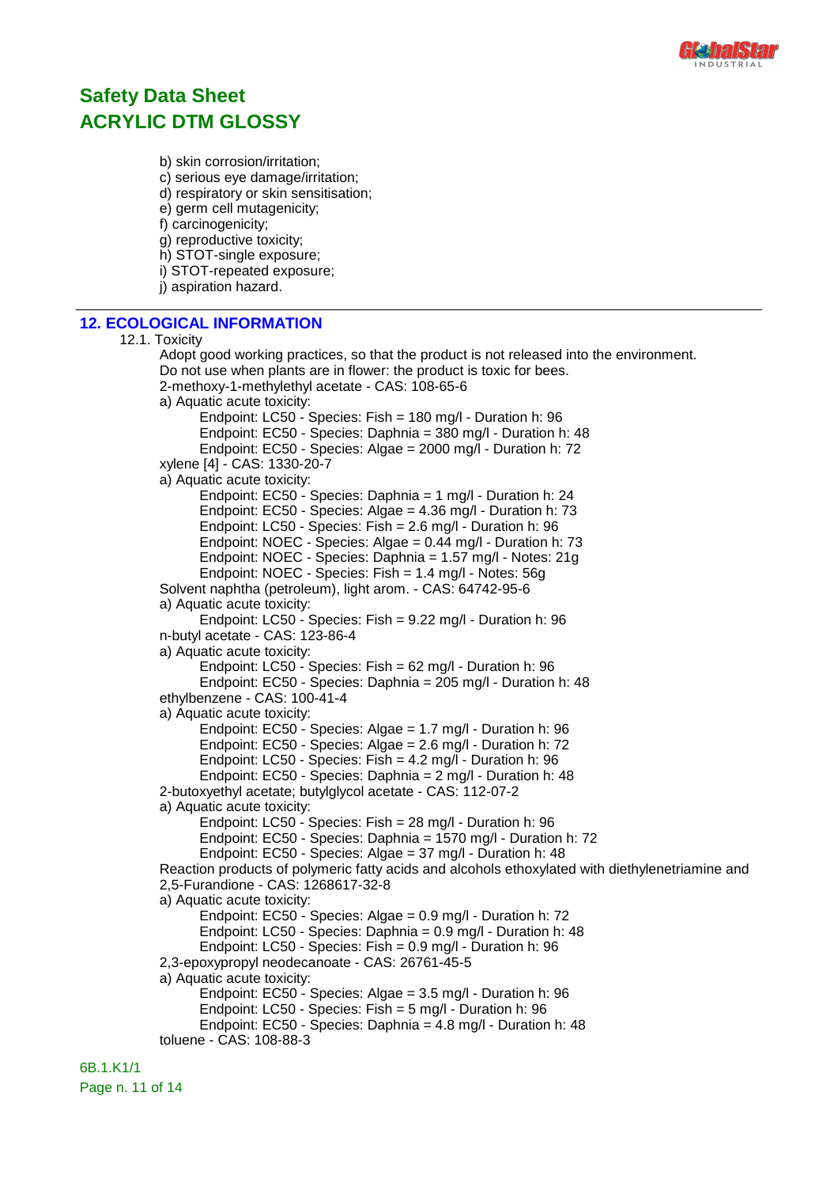

b) skin corrosion/irritation;

c) serious eye damage/irritation;

d) respiratory or skin sensitisation;

e) germ cell mutagenicity;

f) carcinogenicity;

g) reproductive toxicity;

h) STOT-single exposure;

i) STOT-repeated exposure;

j) aspiration hazard.

### **12. ECOLOGICAL INFORMATION**

```
12.1. Toxicity
Adopt good working practices, so that the product is not released into the environment.
Do not use when plants are in flower: the product is toxic for bees.
2-methoxy-1-methylethyl acetate - CAS: 108-65-6
a) Aquatic acute toxicity:
      Endpoint: LC50 - Species: Fish = 180 mg/l - Duration h: 96
      Endpoint: EC50 - Species: Daphnia = 380 mg/l - Duration h: 48
      Endpoint: EC50 - Species: Algae = 2000 mg/l - Duration h: 72
xylene [4] - CAS: 1330-20-7
a) Aquatic acute toxicity:
      Endpoint: EC50 - Species: Daphnia = 1 mg/l - Duration h: 24
      Endpoint: EC50 - Species: Algae = 4.36 mg/l - Duration h: 73
      Endpoint: LC50 - Species: Fish = 2.6 mg/l - Duration h: 96
      Endpoint: NOEC - Species: Algae = 0.44 mg/l - Duration h: 73
      Endpoint: NOEC - Species: Daphnia = 1.57 mg/l - Notes: 21g
      Endpoint: NOEC - Species: Fish = 1.4 mg/l - Notes: 56g
Solvent naphtha (petroleum), light arom. - CAS: 64742-95-6
a) Aquatic acute toxicity:
      Endpoint: LC50 - Species: Fish = 9.22 mg/l - Duration h: 96
n-butyl acetate - CAS: 123-86-4
a) Aquatic acute toxicity:
      Endpoint: LC50 - Species: Fish = 62 mg/l - Duration h: 96
      Endpoint: EC50 - Species: Daphnia = 205 mg/l - Duration h: 48
ethylbenzene - CAS: 100-41-4
a) Aquatic acute toxicity:
      Endpoint: EC50 - Species: Algae = 1.7 mg/l - Duration h: 96
      Endpoint: EC50 - Species: Algae = 2.6 mg/l - Duration h: 72
      Endpoint: LC50 - Species: Fish = 4.2 mg/l - Duration h: 96
      Endpoint: EC50 - Species: Daphnia = 2 mg/l - Duration h: 48
2-butoxyethyl acetate; butylglycol acetate - CAS: 112-07-2
a) Aquatic acute toxicity:
      Endpoint: LC50 - Species: Fish = 28 mg/l - Duration h: 96
      Endpoint: EC50 - Species: Daphnia = 1570 mg/l - Duration h: 72
      Endpoint: EC50 - Species: Algae = 37 mg/l - Duration h: 48
Reaction products of polymeric fatty acids and alcohols ethoxylated with diethylenetriamine and
2,5-Furandione - CAS: 1268617-32-8
a) Aquatic acute toxicity:
      Endpoint: EC50 - Species: Algae = 0.9 mg/l - Duration h: 72
      Endpoint: LC50 - Species: Daphnia = 0.9 mg/l - Duration h: 48
      Endpoint: LC50 - Species: Fish = 0.9 mg/l - Duration h: 96
2,3-epoxypropyl neodecanoate - CAS: 26761-45-5
a) Aquatic acute toxicity:
      Endpoint: EC50 - Species: Algae = 3.5 mg/l - Duration h: 96
      Endpoint: LC50 - Species: Fish = 5 mg/l - Duration h: 96
      Endpoint: EC50 - Species: Daphnia = 4.8 mg/l - Duration h: 48
toluene - CAS: 108-88-3
```
6B.1.K1/1 Page n. 11 of 14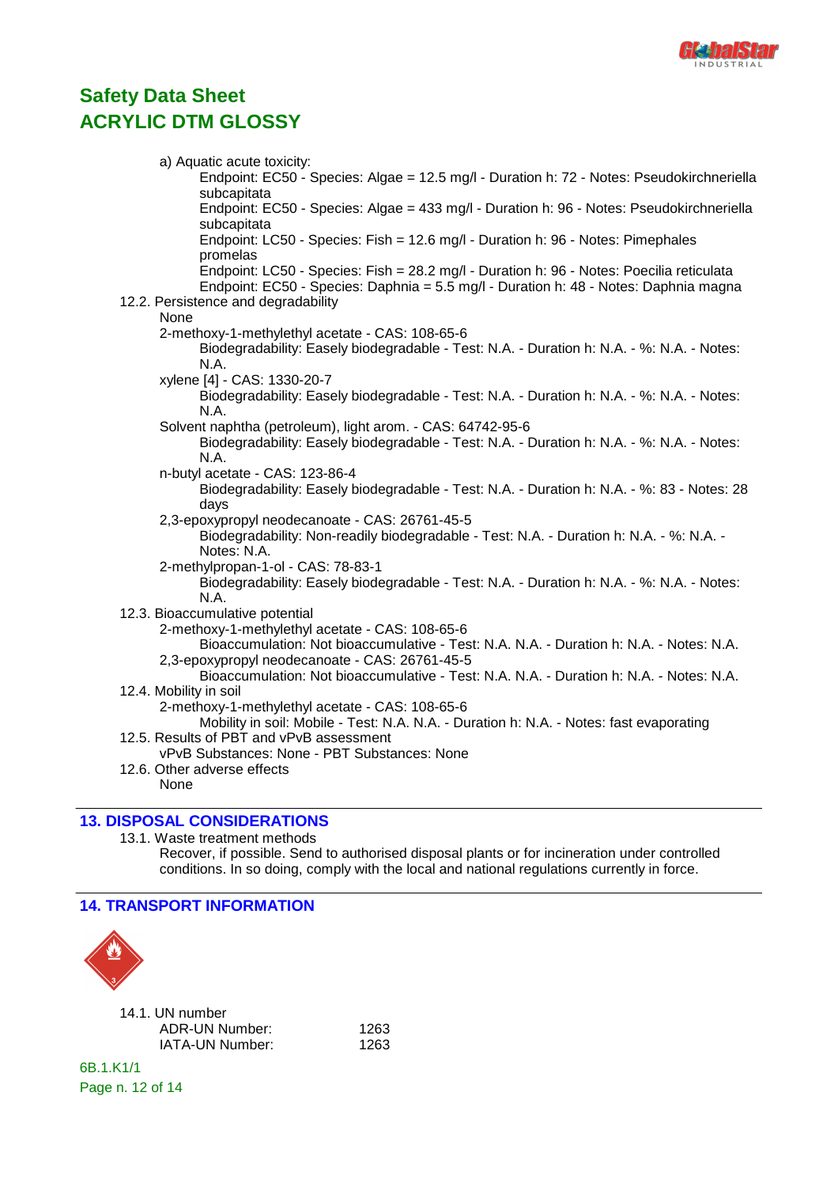

| a) Aquatic acute toxicity:                                                                                                                                                       |
|----------------------------------------------------------------------------------------------------------------------------------------------------------------------------------|
| Endpoint: EC50 - Species: Algae = 12.5 mg/l - Duration h: 72 - Notes: Pseudokirchneriella                                                                                        |
| subcapitata<br>Endpoint: EC50 - Species: Algae = 433 mg/l - Duration h: 96 - Notes: Pseudokirchneriella<br>subcapitata                                                           |
| Endpoint: LC50 - Species: Fish = 12.6 mg/l - Duration h: 96 - Notes: Pimephales<br>promelas                                                                                      |
| Endpoint: LC50 - Species: Fish = 28.2 mg/l - Duration h: 96 - Notes: Poecilia reticulata<br>Endpoint: EC50 - Species: Daphnia = 5.5 mg/l - Duration h: 48 - Notes: Daphnia magna |
| 12.2. Persistence and degradability<br>None                                                                                                                                      |
| 2-methoxy-1-methylethyl acetate - CAS: 108-65-6                                                                                                                                  |
| Biodegradability: Easely biodegradable - Test: N.A. - Duration h: N.A. - %: N.A. - Notes:<br>N.A.                                                                                |
| xylene [4] - CAS: 1330-20-7                                                                                                                                                      |
| Biodegradability: Easely biodegradable - Test: N.A. - Duration h: N.A. - %: N.A. - Notes:<br>N.A.                                                                                |
| Solvent naphtha (petroleum), light arom. - CAS: 64742-95-6<br>Biodegradability: Easely biodegradable - Test: N.A. - Duration h: N.A. - %: N.A. - Notes:<br>N.A.                  |
| n-butyl acetate - CAS: 123-86-4                                                                                                                                                  |
| Biodegradability: Easely biodegradable - Test: N.A. - Duration h: N.A. - %: 83 - Notes: 28<br>days                                                                               |
| 2,3-epoxypropyl neodecanoate - CAS: 26761-45-5<br>Biodegradability: Non-readily biodegradable - Test: N.A. - Duration h: N.A. - %: N.A. -<br>Notes: N.A.                         |
| 2-methylpropan-1-ol - CAS: 78-83-1<br>Biodegradability: Easely biodegradable - Test: N.A. - Duration h: N.A. - %: N.A. - Notes:<br>N.A.                                          |
| 12.3. Bioaccumulative potential                                                                                                                                                  |
| 2-methoxy-1-methylethyl acetate - CAS: 108-65-6<br>Bioaccumulation: Not bioaccumulative - Test: N.A. N.A. - Duration h: N.A. - Notes: N.A.                                       |
| 2,3-epoxypropyl neodecanoate - CAS: 26761-45-5<br>Bioaccumulation: Not bioaccumulative - Test: N.A. N.A. - Duration h: N.A. - Notes: N.A.                                        |
| 12.4. Mobility in soil                                                                                                                                                           |
| 2-methoxy-1-methylethyl acetate - CAS: 108-65-6<br>Mobility in soil: Mobile - Test: N.A. N.A. - Duration h: N.A. - Notes: fast evaporating                                       |
| 12.5. Results of PBT and vPvB assessment<br>vPvB Substances: None - PBT Substances: None                                                                                         |
| 12.6. Other adverse effects<br>None                                                                                                                                              |
|                                                                                                                                                                                  |

### **13. DISPOSAL CONSIDERATIONS**

13.1. Waste treatment methods

Recover, if possible. Send to authorised disposal plants or for incineration under controlled conditions. In so doing, comply with the local and national regulations currently in force.

### **14. TRANSPORT INFORMATION**



| 14.1. UN number |      |
|-----------------|------|
| ADR-UN Number:  | 1263 |
| IATA-UN Number: | 1263 |

6B.1.K1/1 Page n. 12 of 14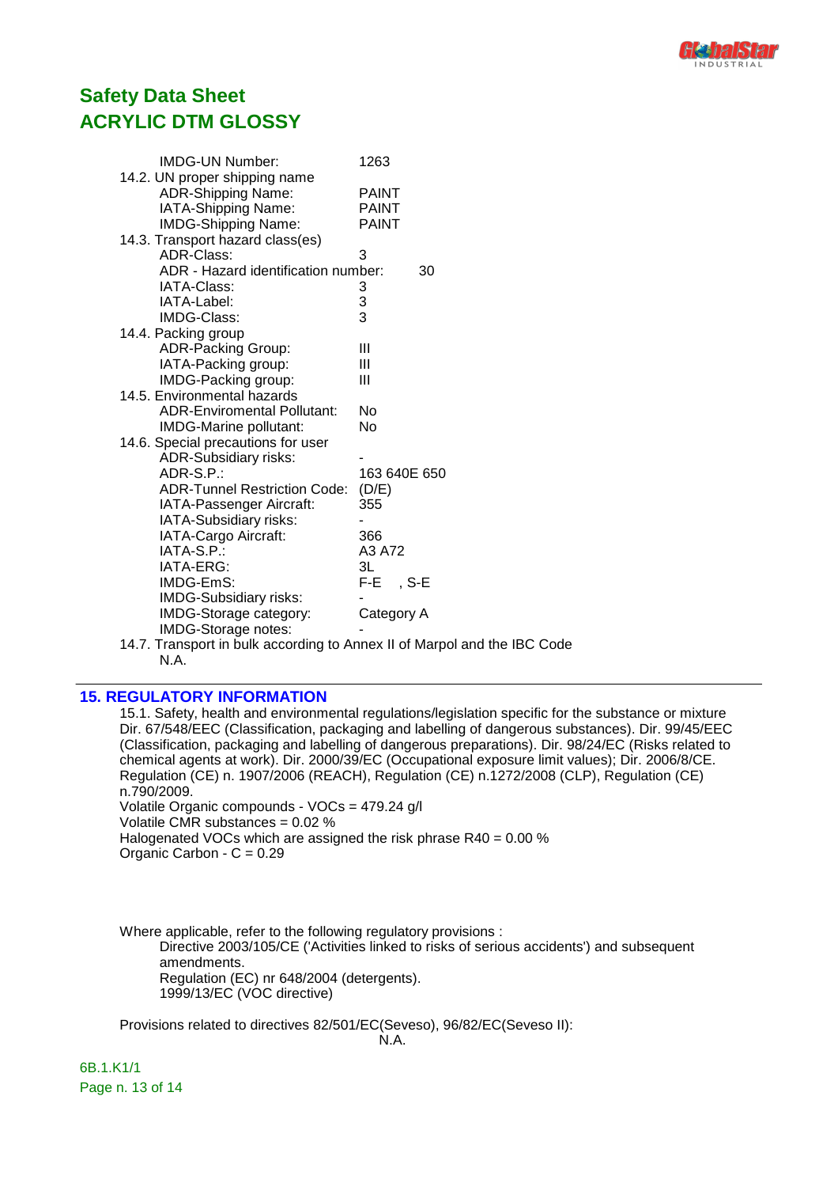

| <b>IMDG-UN Number:</b>              | 1263          |
|-------------------------------------|---------------|
| 14.2. UN proper shipping name       |               |
| <b>ADR-Shipping Name:</b>           | <b>PAINT</b>  |
| IATA-Shipping Name:                 | <b>PAINT</b>  |
| <b>IMDG-Shipping Name:</b>          | <b>PAINT</b>  |
| 14.3. Transport hazard class(es)    |               |
| ADR-Class:                          | 3             |
| ADR - Hazard identification number: | 30            |
| IATA-Class:                         | 3             |
| IATA-Label:                         |               |
| IMDG-Class:                         | $\frac{3}{3}$ |
| 14.4. Packing group                 |               |
| ADR-Packing Group:                  | Ш             |
| IATA-Packing group:                 | Ш             |
| IMDG-Packing group:                 | Ш             |
| 14.5. Environmental hazards         |               |
| <b>ADR-Enviromental Pollutant:</b>  | No            |
| IMDG-Marine pollutant:              | No            |
| 14.6. Special precautions for user  |               |
| <b>ADR-Subsidiary risks:</b>        |               |
| $ADR-S.P.$ :                        | 163 640E 650  |
| <b>ADR-Tunnel Restriction Code:</b> | (D/E)         |
| IATA-Passenger Aircraft:            | 355           |
| IATA-Subsidiary risks:              |               |
| IATA-Cargo Aircraft:                | 366           |
| IATA-S.P.:                          | A3 A72        |
| IATA-ERG:                           | 3L            |
| IMDG-EmS:                           | $F-E$ , S-E   |
| <b>IMDG-Subsidiary risks:</b>       |               |
| IMDG-Storage category:              | Category A    |
| <b>IMDG-Storage notes:</b>          |               |
|                                     |               |

14.7. Transport in bulk according to Annex II of Marpol and the IBC Code N.A.

#### **15. REGULATORY INFORMATION**

15.1. Safety, health and environmental regulations/legislation specific for the substance or mixture Dir. 67/548/EEC (Classification, packaging and labelling of dangerous substances). Dir. 99/45/EEC (Classification, packaging and labelling of dangerous preparations). Dir. 98/24/EC (Risks related to chemical agents at work). Dir. 2000/39/EC (Occupational exposure limit values); Dir. 2006/8/CE. Regulation (CE) n. 1907/2006 (REACH), Regulation (CE) n.1272/2008 (CLP), Regulation (CE) n.790/2009. Volatile Organic compounds - VOCs = 479.24 g/l Volatile CMR substances = 0.02 % Halogenated VOCs which are assigned the risk phrase R40 = 0.00 % Organic Carbon -  $C = 0.29$ 

Where applicable, refer to the following regulatory provisions : Directive 2003/105/CE ('Activities linked to risks of serious accidents') and subsequent amendments. Regulation (EC) nr 648/2004 (detergents). 1999/13/EC (VOC directive)

Provisions related to directives 82/501/EC(Seveso), 96/82/EC(Seveso II): N.A.

6B.1.K1/1 Page n. 13 of 14